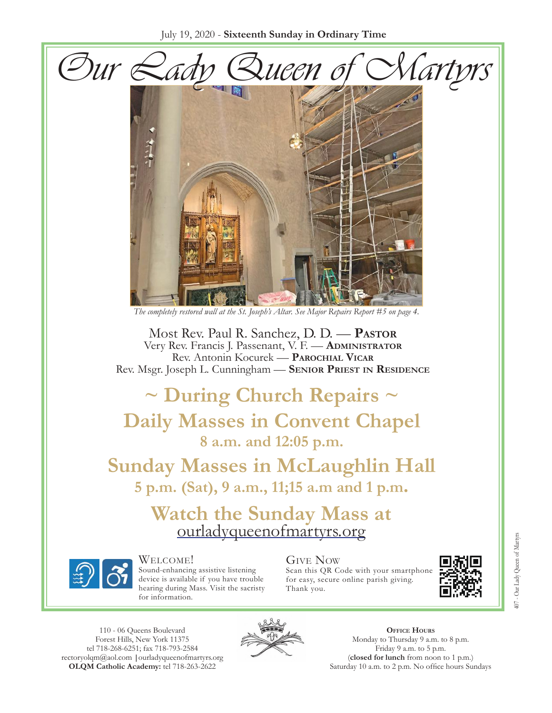



*The completely restored wall at the St. Joseph's Altar. See Major Repairs Report #5 on page 4.*

Most Rev. Paul R. Sanchez, D. D. — **Pastor** Very Rev. Francis J. Passenant, V. F. — **Administrator** Rev. Antonin Kocurek — **Parochial Vicar** Rev. Msgr. Joseph L. Cunningham — **Senior Priest in Residence**

**~ During Church Repairs ~ Daily Masses in Convent Chapel 8 a.m. and 12:05 p.m.**

**Sunday Masses in McLaughlin Hall 5 p.m. (Sat), 9 a.m., 11;15 a.m and 1 p.m.**

Watch the Sunday Mass at [ourladyqueenofmartyrs.org](https://ourladyqueenofmartyrs.org/)



Welcome! Sound-enhancing assistive listening device is available if you have trouble hearing during Mass. Visit the sacristy for information.

#### Give Now Scan this QR Code with your smartphone for easy, secure online parish giving.

Thank you.



110 - 06 Queens Boulevard Forest Hills, New York 11375 [tel 718-268-625](mailto:rectoryolqm@aol.com)[1; fax 718-793-2584](www.ourladyqueenofmartyrs.org) rectoryolqm@aol.com **|**ourladyqueenofmartyrs.org **OLQM Catholic Academy:** tel 718-263-2622



**Office Hours** Monday to Thursday 9 a.m. to 8 p.m. Friday 9 a.m. to 5 p.m. (**closed for lunch** from noon to 1 p.m.) Saturday 10 a.m. to 2 p.m. No office hours Sundays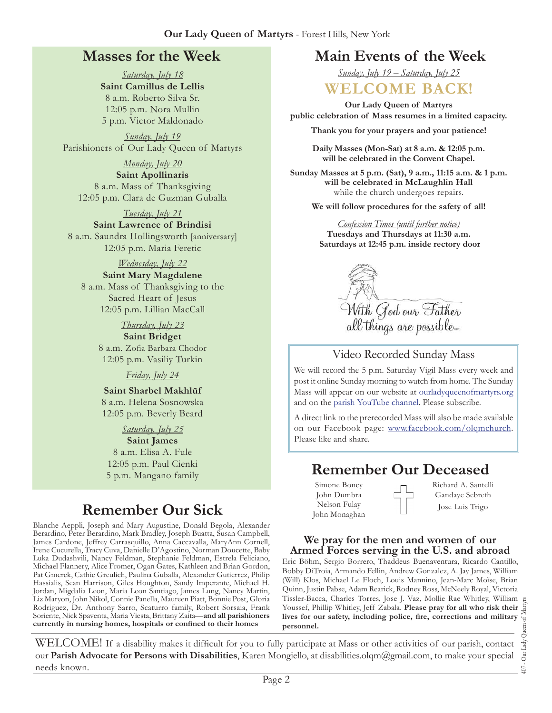### **Masses for the Week**

*Saturday, July 18* **Saint Camillus de Lellis** 8 a.m. Roberto Silva Sr. 12:05 p.m. Nora Mullin 5 p.m. Victor Maldonado

*Sunday, July 19* Parishioners of Our Lady Queen of Martyrs

*Monday, July 20* **Saint Apollinaris** 8 a.m. Mass of Thanksgiving 12:05 p.m. Clara de Guzman Guballa

*Tuesday, July 21*

**Saint Lawrence of Brindisi** 8 a.m. Saundra Hollingsworth [anniversary] 12:05 p.m. Maria Feretic

*Wednesday, July 22*

**Saint Mary Magdalene** 8 a.m. Mass of Thanksgiving to the Sacred Heart of Jesus 12:05 p.m. Lillian MacCall

> *Thursday, July 23* **Saint Bridget** 8 a.m. Zofia Barbara Chodor 12:05 p.m. Vasiliy Turkin

> > *Friday, July 24*

**Saint Sharbel Makhlūf** 8 a.m. Helena Sosnowska 12:05 p.m. Beverly Beard

*Saturday, July 25* **Saint James** 8 a.m. Elisa A. Fule 12:05 p.m. Paul Cienki

# **Remember Our Sick**

Blanche Aeppli, Joseph and Mary Augustine, Donald Begola, Alexander Berardino, Peter Berardino, Mark Bradley, Joseph Buatta, Susan Campbell, James Cardone, Jeffrey Carrasquillo, Anna Caccavalla, MaryAnn Cornell, Irene Cucurella, Tracy Cuva, Danielle D'Agostino, Norman Doucette, Baby Luka Dudashvili, Nancy Feldman, Stephanie Feldman, Estrela Feliciano, Michael Flannery, Alice Fromer, Ogan Gates, Kathleen and Brian Gordon, Pat Gmerek, Cathie Greulich, Paulina Guballa, Alexander Gutierrez, Philip Hassialis, Sean Harrison, Giles Houghton, Sandy Imperante, Michael H. Jordan, Migdalia Leon, Maria Leon Santiago, James Lung, Nancy Martin, Liz Maryon, John Nikol, Connie Panella, Maureen Piatt, Bonnie Post, Gloria Rodriguez, Dr. Anthony Sarro, Scaturro family, Robert Sorsaia, Frank Soriente, Nick Spaventa, Maria Viesta, Brittany Zaita—**and all parishioners currently in nursing homes, hospitals or confined to their homes**

### **Main Events of the Week**

*Sunday, July 19 – Saturday, July 25*

### **WELCOME BACK!**

**Our Lady Queen of Martyrs public celebration of Mass resumes in a limited capacity.** 

**Thank you for your prayers and your patience!**

**Daily Masses (Mon-Sat) at 8 a.m. & 12:05 p.m. will be celebrated in the Convent Chapel.**

**Sunday Masses at 5 p.m. (Sat), 9 a.m., 11:15 a.m. & 1 p.m. will be celebrated in McLaughlin Hall**  while the church undergoes repairs.

**We will follow procedures for the safety of all!**

*Confession Times (until further notice)* **Tuesdays and Thursdays at 11:30 a.m. Saturdays at 12:45 p.m. inside rectory door**



#### Video Recorded Sunday Mass

We will record the 5 p.m. Saturday Vigil Mass every week and post it online Sunday morning to watch from home. The Sunday Mass will appear on our website at [ourladyqueenofmartyrs.org](https://ourladyqueenofmartyrs.org/) and on the [parish YouTube channel](https://www.youtube.com/user/OLQMStewardship/videos?view=0&sort=dd&shelf_id=2). Please subscribe.

A direct link to the prerecorded Mass will also be made available on our Facebook page: [www.facebook.com/olqmchurch](https://www.facebook.com/OLQMChurch/). Please like and share.

# 5 p.m. Mangano family **Remember Our Deceased**

Simone Boncy John Dumbra Nelson Fulay John Monaghan Richard A. Santelli Gandaye Sebreth Jose Luis Trigo

#### **We pray for the men and women of our Armed Forces serving in the U.S. and abroad**

Eric Böhm, Sergio Borrero, Thaddeus Buenaventura, Ricardo Cantillo, Bobby DiTroia, Armando Fellin, Andrew Gonzalez, A. Jay James, William (Will) Klos, Michael Le Floch, Louis Mannino, Jean-Marc Moïse, Brian Quinn, Justin Pabse, Adam Rearick, Rodney Ross, McNeely Royal, Victoria Tissler-Bacca, Charles Torres, Jose J. Vaz, Mollie Rae Whitley, William Youssef, Phillip Whitley, Jeff Zabala. **Please pray for all who risk their lives for our safety, including police, fire, corrections and military personnel.**

407 - Our Lady Queen of Martyrs Our Lady  $\overline{407}$ .

WELCOME! If a disability makes it difficult for you to fully participate at Mass or other activities of our parish, contact our **Parish Advocate for Persons with Disabilities**, Karen Mongiello, at [disabilities.olqm@gmail.com](mailto:disabilities.olqm@gmail.com), to make your special needs known.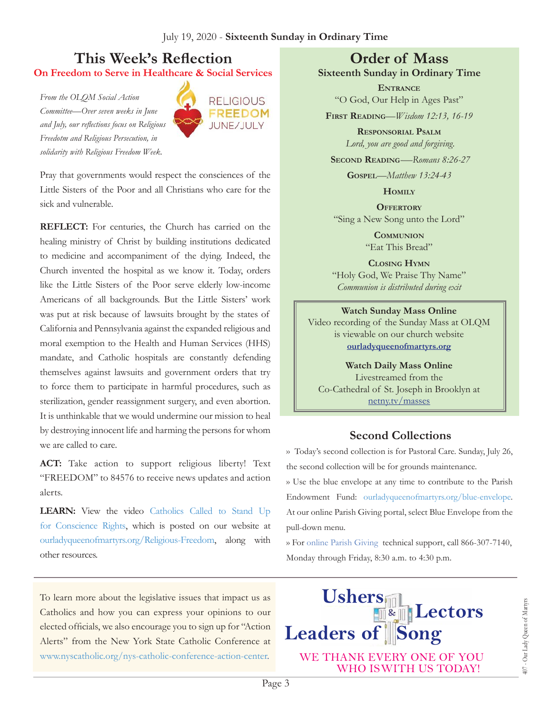### **This Week's Reflection On Freedom to Serve in Healthcare & Social Services**

*From the OLQM Social Action Committee—Over seven weeks in June and July, our reflections focus on Religious Freedotm and Religious Persecution, in solidarity with Religious Freedom Week.*



Pray that governments would respect the consciences of the Little Sisters of the Poor and all Christians who care for the sick and vulnerable.

**REFLECT:** For centuries, the Church has carried on the healing ministry of Christ by building institutions dedicated to medicine and accompaniment of the dying. Indeed, the Church invented the hospital as we know it. Today, orders like the Little Sisters of the Poor serve elderly low-income Americans of all backgrounds. But the Little Sisters' work was put at risk because of lawsuits brought by the states of California and Pennsylvania against the expanded religious and moral exemption to the Health and Human Services (HHS) mandate, and Catholic hospitals are constantly defending themselves against lawsuits and government orders that try to force them to participate in harmful procedures, such as sterilization, gender reassignment surgery, and even abortion. It is unthinkable that we would undermine our mission to heal by destroying innocent life and harming the persons for whom we are called to care.

**ACT:** Take action to support religious liberty! Text "FREEDOM" to 84576 to receive news updates and action alerts.

**LEARN:** View the video [Catholics Called to Stand Up](https://bit.ly/36xHDKS) [for Conscience Rights](https://bit.ly/36xHDKS), which is posted on our website at [ourladyqueenofmartyrs.org/Religious-Freedom,](https://ourladyqueenofmartyrs.org/religious-freedom/) along with other resources.

To learn more about the legislative issues that impact us as Catholics and how you can express your opinions to our elected officials, we also encourage you to sign up for "Action Alerts" from the New York State Catholic Conference at [www.nyscatholic.org/nys-catholic-conference-action-center](https://www.nyscatholic.org/nys-catholic-conference-action-center).

### **Order of Mass**

**Sixteenth Sunday in Ordinary Time**

**Entrance** "O God, Our Help in Ages Past"

**First Reading***—Wisdom 12:13, 16-19*

**Responsorial Psalm** *Lord, you are good and forgiving.*

**Second Reading***-—Romans 8:26-27*

**Gospel***—Matthew 13:24-43*

**Homily**

**Offertory** "Sing a New Song unto the Lord"

> **Communion** "Eat This Bread"

**Closing Hymn** "Holy God, We Praise Thy Name" *Communion is distributed during exit* 

#### **Watch Sunday Mass Online**  Video recording of the Sunday Mass at OLQM is viewable on our church website **[ourladyqueenofmartyrs.org](https://ourladyqueenofmartyrs.org)**

**Watch Daily Mass Online**  Livestreamed from the Co-Cathedral of St. Joseph in Brooklyn at [netny.tv/masses](https://netny.tv/masses/)

### **Second Collections**

›› Today's second collection is for Pastoral Care. Sunday, July 26, the second collection will be for grounds maintenance.

›› Use the blue envelope at any time to contribute to the Parish Endowment Fund: [ourladyqueenofmartyrs.org/blue-envelope.](https://ourladyqueenofmartyrs.org/blue-envelope/) At our online Parish Giving portal, select Blue Envelope from the pull-down menu.

›› For [online Parish Giving](https://ourladyqueenofmartyrs.org/parish-giving/) technical support, call 866-307-7140, Monday through Friday, 8:30 a.m. to 4:30 p.m.

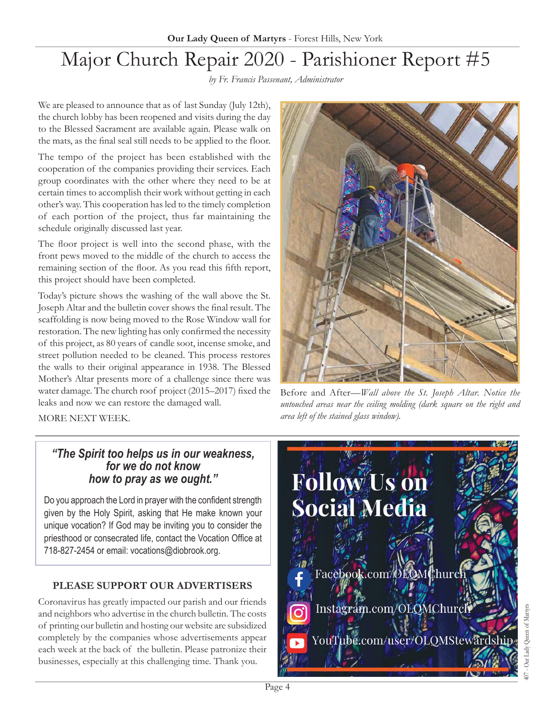# Major Church Repair 2020 - Parishioner Report #5

*by Fr. Francis Passenant, Administrator*

We are pleased to announce that as of last Sunday (July 12th), the church lobby has been reopened and visits during the day to the Blessed Sacrament are available again. Please walk on the mats, as the final seal still needs to be applied to the floor.

The tempo of the project has been established with the cooperation of the companies providing their services. Each group coordinates with the other where they need to be at certain times to accomplish their work without getting in each other's way. This cooperation has led to the timely completion of each portion of the project, thus far maintaining the schedule originally discussed last year.

The floor project is well into the second phase, with the front pews moved to the middle of the church to access the remaining section of the floor. As you read this fifth report, this project should have been completed.

Today's picture shows the washing of the wall above the St. Joseph Altar and the bulletin cover shows the final result. The scaffolding is now being moved to the Rose Window wall for restoration. The new lighting has only confirmed the necessity of this project, as 80 years of candle soot, incense smoke, and street pollution needed to be cleaned. This process restores the walls to their original appearance in 1938. The Blessed Mother's Altar presents more of a challenge since there was water damage. The church roof project (2015–2017) fixed the leaks and now we can restore the damaged wall.



Before and After—*Wall above the St. Joseph Altar. Notice the untouched areas near the ceiling molding (dark square on the right and area left of the stained glass window).* 

MORE NEXT WEEK.

### *"The Spirit too helps us in our weakness, for we do not know how to pray as we ought."*

Do you approach the Lord in prayer with the confident strength given by the Holy Spirit, asking that He make known your unique vocation? If God may be inviting you to consider the priesthood or consecrated life, contact the Vocation Office at 718-827-2454 or email: vocations@diobrook.org.

### **PLEASE SUPPORT OUR ADVERTISERS**

Coronavirus has greatly impacted our parish and our friends and neighbors who advertise in the church bulletin. The costs of printing our bulletin and hosting our website are subsidized completely by the companies whose advertisements appear each week at the back of the bulletin. Please patronize their businesses, especially at this challenging time. Thank you.

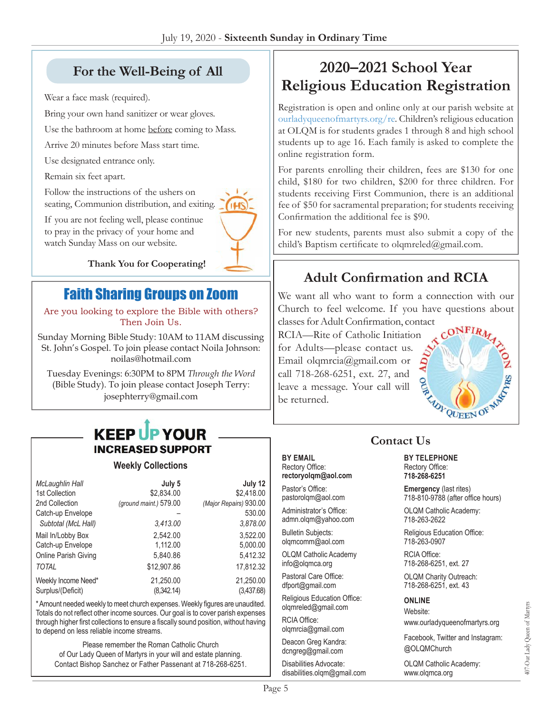# **For the Well-Being of All**

Wear a face mask (required).

Bring your own hand sanitizer or wear gloves.

Use the bathroom at home before coming to Mass.

Arrive 20 minutes before Mass start time.

Use designated entrance only.

Remain six feet apart.

Follow the instructions of the ushers on seating, Communion distribution, and exiting.



If you are not feeling well, please continue to pray in the privacy of your home and watch Sunday Mass on our website.

**Thank You for Cooperating!**

# Faith Sharing Groups on Zoom

Are you looking to explore the Bible with others? Then Join Us.

Sunday Morning Bible Study: 10AM to 11AM discussing St. John's Gospel. To join please contact Noila Johnson: [noilas@hotmail.com](mailto:noilas@hotmail.com)

Tuesday Evenings: 6:30PM to 8PM *Through the Word* (Bible Study). To join please contact Joseph Terry: [josephterry@gmail.com](mailto:josephterry@gmail.com)

# **KEEP UP YOUR INCREASED SUPPORT**

#### **Weekly Collections**

| McLaughlin Hall      | July 5                 | July 12                |
|----------------------|------------------------|------------------------|
| 1st Collection       | \$2,834.00             | \$2,418.00             |
| 2nd Collection       | (ground maint.) 579.00 | (Major Repairs) 930.00 |
| Catch-up Envelope    |                        | 530.00                 |
| Subtotal (McL Hall)  | 3.413.00               | 3,878.00               |
| Mail In/Lobby Box    | 2.542.00               | 3.522.00               |
| Catch-up Envelope    | 1,112.00               | 5,000.00               |
| Online Parish Giving | 5,840.86               | 5,412.32               |
| <b>TOTAL</b>         | \$12,907.86            | 17,812.32              |
| Weekly Income Need*  | 21,250.00              | 21,250.00              |
| Surplus/(Deficit)    | (8,342.14)             | (3,437.68)             |

\* Amount needed weekly to meet church expenses. Weekly figures are unaudited. Totals do not reflect other income sources. Our goal is to cover parish expenses through higher first collections to ensure a fiscally sound position, without having to depend on less reliable income streams.

Please remember the Roman Catholic Church of Our Lady Queen of Martyrs in your will and estate planning. Contact Bishop Sanchez or Father Passenant at 718-268-6251.

# **2020–2021 School Year Religious Education Registration**

Registration is open and online only at our parish website at [ourladyqueenofmartyrs.org/re](https://ourladyqueenofmartyrs.org/re/). Children's religious education at OLQM is for students grades 1 through 8 and high school students up to age 16. Each family is asked to complete the online registration form.

For parents enrolling their children, fees are \$130 for one child, \$180 for two children, \$200 for three children. For students receiving First Communion, there is an additional fee of \$50 for sacramental preparation; for students receiving Confirmation the additional fee is \$90.

For new students, parents must also submit a copy of the child's Baptism certificate to [olqmreled@gmail.com.](mailto:olqmreled@gmail.com)

## **Adult Confirmation and RCIA**

We want all who want to form a connection with our Church to feel welcome. If you have questions about classes for Adult Confirmation, co[ntact](https://ourladyqueenofmartyrs.org/rcia/) 

RCIA—Rite of Catholic Initiation for Adults—please contact us. Email [olqmrcia@gmail.com](mailto:olqmrcia@gmail.com) or call 718-268-6251, ext. 27, and leave a message. Your call will be returned.



# **Contact Us**

**BY EMAIL** Rectory Office: **rectoryolqm@aol.com**

Pastor's Office: pastorolqm@aol.com

Administrator's Office: admn.olqm@yahoo.com

Bulletin Subjects: olqmcomm@aol.com

OLQM Catholic Academy info@olqmca.org

Pastoral Care Office: dfport@gmail.com

Religious Education Office: olqmreled@gmail.com

RCIA Office: olqmrcia@gmail.com

Deacon Greg Kandra: dcngreg@gmail.com

Disabilities Advocate: disabilities.olqm@gmail.com **BY TELEPHONE** Rectory Office:

**718-268-6251 Emergency** (last rites)

718-810-9788 (after office hours)

OLQM Catholic Academy: 718-263-2622

Religious Education Office: 718-263-0907

RCIA Office: 718-268-6251, ext. 27

OLQM Charity Outreach: 718-268-6251, ext. 43

#### **ONLINE**

Website: www.ourladyqueenofmartyrs.org

Facebook, Twitter and Instagram: @OLQMChurch

407-Our Lady Queen of Martyrs

407-Our Lady Queen of Martyrs

OLQM Catholic Academy: www.olqmca.org